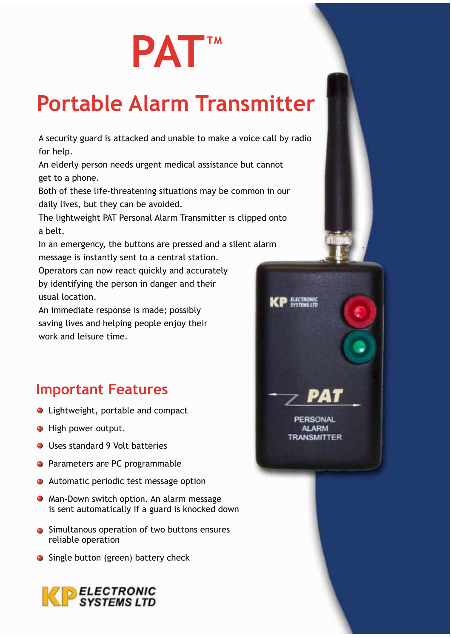# **PATTM**

## **Portable Alarm Transmitter**

A security guard is attacked and unable to make a voice call by radio for help.

An elderly person needs urgent medical assistance but cannot get to a phone.

Both of these life-threatening situations may be common in our daily lives, but they can be avoided.

The lightweight PAT Personal Alarm Transmitter is clipped onto a belt.

In an emergency, the buttons are pressed and a silent alarm message is instantly sent to a central station.

**BECTRONIC** 

PERSONAL

**ALARM RANSMITTER** 

Operators can now react quickly and accurately by identifying the person in danger and their usual location.

An immediate response is made; possibly saving lives and helping people enjoy their work and leisure time.

### **Important Features**

- Lightweight, portable and compact
- · High power output.
- Uses standard 9 Volt batteries
- Parameters are PC programmable
- Automatic periodic test message option
- Man-Down switch option. An alarm message is sent automatically if a guard is knocked down
- Simultanous operation of two buttons ensures reliable operation
- Single button (green) battery check